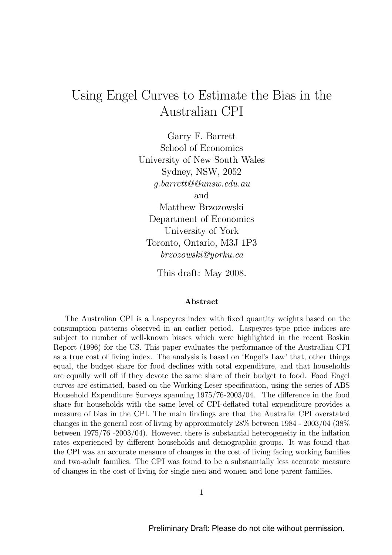# Using Engel Curves to Estimate the Bias in the Australian CPI

Garry F. Barrett School of Economics University of New South Wales Sydney, NSW, 2052 g.barrett@@unsw.edu.au and Matthew Brzozowski Department of Economics University of York Toronto, Ontario, M3J 1P3 brzozowski@yorku.ca

This draft: May 2008.

#### Abstract

The Australian CPI is a Laspeyres index with fixed quantity weights based on the consumption patterns observed in an earlier period. Laspeyres-type price indices are subject to number of well-known biases which were highlighted in the recent Boskin Report (1996) for the US. This paper evaluates the performance of the Australian CPI as a true cost of living index. The analysis is based on 'Engel's Law' that, other things equal, the budget share for food declines with total expenditure, and that households are equally well off if they devote the same share of their budget to food. Food Engel curves are estimated, based on the Working-Leser specification, using the series of ABS Household Expenditure Surveys spanning 1975/76-2003/04. The difference in the food share for households with the same level of CPI-deflated total expenditure provides a measure of bias in the CPI. The main findings are that the Australia CPI overstated changes in the general cost of living by approximately 28% between 1984 - 2003/04 (38% between 1975/76 -2003/04). However, there is substantial heterogeneity in the inflation rates experienced by different households and demographic groups. It was found that the CPI was an accurate measure of changes in the cost of living facing working families and two-adult families. The CPI was found to be a substantially less accurate measure of changes in the cost of living for single men and women and lone parent families.

1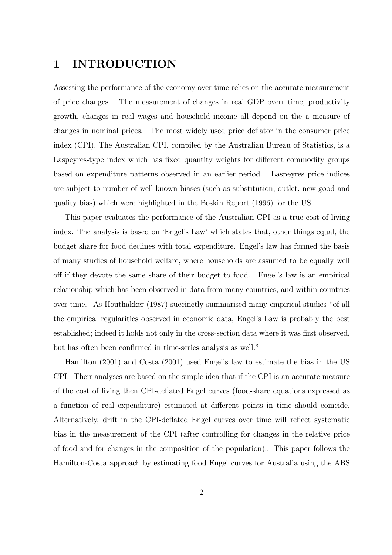# 1 INTRODUCTION

Assessing the performance of the economy over time relies on the accurate measurement of price changes. The measurement of changes in real GDP overr time, productivity growth, changes in real wages and household income all depend on the a measure of changes in nominal prices. The most widely used price deflator in the consumer price index (CPI). The Australian CPI, compiled by the Australian Bureau of Statistics, is a Laspeyres-type index which has fixed quantity weights for different commodity groups based on expenditure patterns observed in an earlier period. Laspeyres price indices are subject to number of well-known biases (such as substitution, outlet, new good and quality bias) which were highlighted in the Boskin Report (1996) for the US.

This paper evaluates the performance of the Australian CPI as a true cost of living index. The analysis is based on 'Engel's Law' which states that, other things equal, the budget share for food declines with total expenditure. Engel's law has formed the basis of many studies of household welfare, where households are assumed to be equally well off if they devote the same share of their budget to food. Engel's law is an empirical relationship which has been observed in data from many countries, and within countries over time. As Houthakker (1987) succinctly summarised many empirical studies "of all the empirical regularities observed in economic data, Engel's Law is probably the best established; indeed it holds not only in the cross-section data where it was first observed, but has often been confirmed in time-series analysis as well."

Hamilton (2001) and Costa (2001) used Engel's law to estimate the bias in the US CPI. Their analyses are based on the simple idea that if the CPI is an accurate measure of the cost of living then CPI-deflated Engel curves (food-share equations expressed as a function of real expenditure) estimated at different points in time should coincide. Alternatively, drift in the CPI-deflated Engel curves over time will reflect systematic bias in the measurement of the CPI (after controlling for changes in the relative price of food and for changes in the composition of the population).. This paper follows the Hamilton-Costa approach by estimating food Engel curves for Australia using the ABS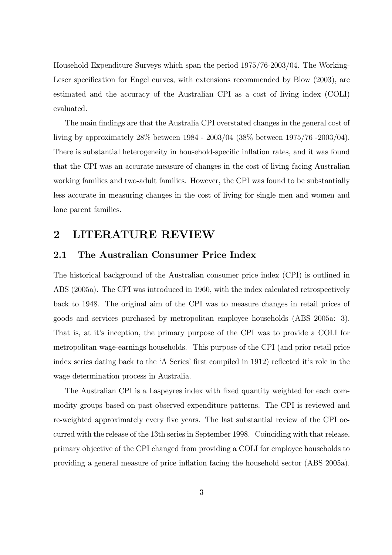Household Expenditure Surveys which span the period 1975/76-2003/04. The Working-Leser specification for Engel curves, with extensions recommended by Blow (2003), are estimated and the accuracy of the Australian CPI as a cost of living index (COLI) evaluated.

The main findings are that the Australia CPI overstated changes in the general cost of living by approximately 28% between 1984 - 2003/04 (38% between 1975/76 -2003/04). There is substantial heterogeneity in household-specific inflation rates, and it was found that the CPI was an accurate measure of changes in the cost of living facing Australian working families and two-adult families. However, the CPI was found to be substantially less accurate in measuring changes in the cost of living for single men and women and lone parent families.

### 2 LITERATURE REVIEW

#### 2.1 The Australian Consumer Price Index

The historical background of the Australian consumer price index (CPI) is outlined in ABS (2005a). The CPI was introduced in 1960, with the index calculated retrospectively back to 1948. The original aim of the CPI was to measure changes in retail prices of goods and services purchased by metropolitan employee households (ABS 2005a: 3). That is, at it's inception, the primary purpose of the CPI was to provide a COLI for metropolitan wage-earnings households. This purpose of the CPI (and prior retail price index series dating back to the 'A Series' first compiled in 1912) reflected it's role in the wage determination process in Australia.

The Australian CPI is a Laspeyres index with fixed quantity weighted for each commodity groups based on past observed expenditure patterns. The CPI is reviewed and re-weighted approximately every five years. The last substantial review of the CPI occurred with the release of the 13th series in September 1998. Coinciding with that release, primary objective of the CPI changed from providing a COLI for employee households to providing a general measure of price inflation facing the household sector (ABS 2005a).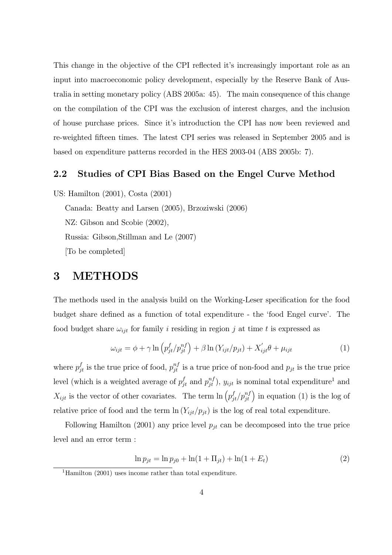This change in the objective of the CPI reflected it's increasingly important role as an input into macroeconomic policy development, especially by the Reserve Bank of Australia in setting monetary policy (ABS 2005a: 45). The main consequence of this change on the compilation of the CPI was the exclusion of interest charges, and the inclusion of house purchase prices. Since it's introduction the CPI has now been reviewed and re-weighted fifteen times. The latest CPI series was released in September 2005 and is based on expenditure patterns recorded in the HES 2003-04 (ABS 2005b: 7).

#### 2.2 Studies of CPI Bias Based on the Engel Curve Method

US: Hamilton (2001), Costa (2001)

Canada: Beatty and Larsen (2005), Brzoziwski (2006) NZ: Gibson and Scobie (2002), Russia: Gibson,Stillman and Le (2007) [To be completed]

### 3 METHODS

The methods used in the analysis build on the Working-Leser specification for the food budget share defined as a function of total expenditure - the 'food Engel curve'. The food budget share  $\omega_{ijt}$  for family i residing in region j at time t is expressed as

$$
\omega_{ijt} = \phi + \gamma \ln \left( p_{jt}^f / p_{jt}^{nf} \right) + \beta \ln \left( Y_{ijt} / p_{jt} \right) + X_{ijt}' \theta + \mu_{ijt} \tag{1}
$$

where  $p_{jt}^f$  is the true price of food,  $p_{jt}^{nf}$  is a true price of non-food and  $p_{jt}$  is the true price level (which is a weighted average of  $p_{jt}^f$  and  $p_{jt}^{nf}$ ),  $y_{ijt}$  is nominal total expenditure<sup>1</sup> and  $X_{ijt}$  is the vector of other covariates. The term  $\ln \left( p_{jt}^f / p_{jt}^{nf} \right)$  in equation (1) is the log of relative price of food and the term  $\ln(Y_{ijt}/p_{jt})$  is the log of real total expenditure.

Following Hamilton (2001) any price level  $p_{jt}$  can be decomposed into the true price level and an error term :

$$
\ln p_{jt} = \ln p_{j0} + \ln(1 + \Pi_{jt}) + \ln(1 + E_t)
$$
\n(2)

<sup>&</sup>lt;sup>1</sup>Hamilton (2001) uses income rather than total expenditure.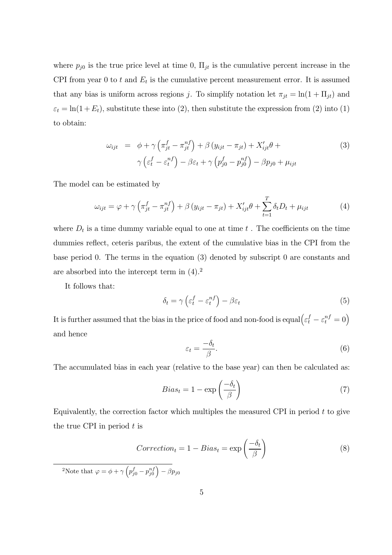where  $p_{j0}$  is the true price level at time 0,  $\Pi_{jt}$  is the cumulative percent increase in the CPI from year 0 to t and  $E_t$  is the cumulative percent measurement error. It is assumed that any bias is uniform across regions j. To simplify notation let  $\pi_{jt} = \ln(1 + \Pi_{jt})$  and  $\varepsilon_t = \ln(1 + E_t)$ , substitute these into (2), then substitute the expression from (2) into (1) to obtain:

$$
\omega_{ijt} = \phi + \gamma \left( \pi_{jt}^f - \pi_{jt}^{nf} \right) + \beta \left( y_{ijt} - \pi_{jt} \right) + X'_{ijt} \theta + \gamma \left( \varepsilon_t^f - \varepsilon_t^{nf} \right) - \beta \varepsilon_t + \gamma \left( p_{j0}^f - p_{j0}^{nf} \right) - \beta p_{j0} + \mu_{ijt}
$$
\n(3)

The model can be estimated by

$$
\omega_{ijt} = \varphi + \gamma \left( \pi_{jt}^f - \pi_{jt}^{nf} \right) + \beta \left( y_{ijt} - \pi_{jt} \right) + X_{ijt}' \theta + \sum_{t=1}^T \delta_t D_t + \mu_{ijt} \tag{4}
$$

where  $D_t$  is a time dummy variable equal to one at time  $t$ . The coefficients on the time dummies reflect, ceteris paribus, the extent of the cumulative bias in the CPI from the base period 0. The terms in the equation (3) denoted by subscript 0 are constants and are absorbed into the intercept term in  $(4).<sup>2</sup>$ 

It follows that:

$$
\delta_t = \gamma \left( \varepsilon_t^f - \varepsilon_t^{nf} \right) - \beta \varepsilon_t \tag{5}
$$

It is further assumed that the bias in the price of food and non-food is equal $\left(\varepsilon_t^f - \varepsilon_t^{nf} = 0\right)$ and hence

$$
\varepsilon_t = \frac{-\delta_t}{\beta}.\tag{6}
$$

The accumulated bias in each year (relative to the base year) can then be calculated as:

$$
Bias_t = 1 - \exp\left(\frac{-\delta_t}{\beta}\right) \tag{7}
$$

Equivalently, the correction factor which multiples the measured CPI in period  $t$  to give the true CPI in period  $t$  is

$$
Correction_t = 1 - Bias_t = \exp\left(\frac{-\delta_t}{\beta}\right)
$$
\n(8)

<sup>2</sup>Note that  $\varphi = \phi + \gamma \left( p_{j0}^f - p_{j0}^{nf} \right) - \beta p_{j0}$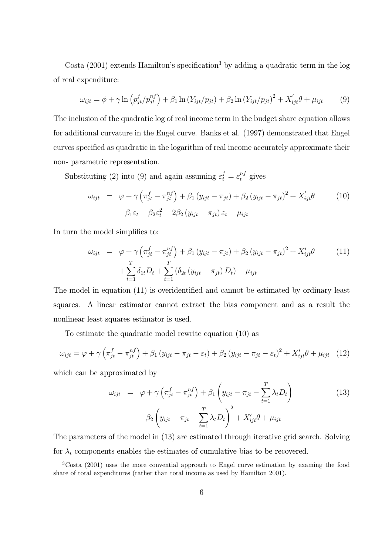Costa (2001) extends Hamilton's specification<sup>3</sup> by adding a quadratic term in the log of real expenditure:

$$
\omega_{ijt} = \phi + \gamma \ln \left( p_{jt}^f / p_{jt}^{nf} \right) + \beta_1 \ln \left( Y_{ijt} / p_{jt} \right) + \beta_2 \ln \left( Y_{ijt} / p_{jt} \right)^2 + X_{ijt}' \theta + \mu_{ijt} \tag{9}
$$

The inclusion of the quadratic log of real income term in the budget share equation allows for additional curvature in the Engel curve. Banks et al. (1997) demonstrated that Engel curves specified as quadratic in the logarithm of real income accurately approximate their non- parametric representation.

Substituting (2) into (9) and again assuming  $\varepsilon_t^f = \varepsilon_t^{nf}$  gives

$$
\omega_{ijt} = \varphi + \gamma \left( \pi_{jt}^f - \pi_{jt}^{nf} \right) + \beta_1 \left( y_{ijt} - \pi_{jt} \right) + \beta_2 \left( y_{ijt} - \pi_{jt} \right)^2 + X'_{ijt} \theta \tag{10}
$$
\n
$$
-\beta_1 \varepsilon_t - \beta_2 \varepsilon_t^2 - 2\beta_2 \left( y_{ijt} - \pi_{jt} \right) \varepsilon_t + \mu_{ijt}
$$

In turn the model simplifies to:

$$
\omega_{ijt} = \varphi + \gamma \left( \pi_{jt}^f - \pi_{jt}^{nf} \right) + \beta_1 \left( y_{ijt} - \pi_{jt} \right) + \beta_2 \left( y_{ijt} - \pi_{jt} \right)^2 + X'_{ijt} \theta \qquad (11)
$$

$$
+ \sum_{t=1}^T \delta_{1t} D_t + \sum_{t=1}^T \left( \delta_{2t} \left( y_{ijt} - \pi_{jt} \right) D_t \right) + \mu_{ijt}
$$

The model in equation (11) is overidentified and cannot be estimated by ordinary least squares. A linear estimator cannot extract the bias component and as a result the nonlinear least squares estimator is used.

To estimate the quadratic model rewrite equation (10) as

$$
\omega_{ijt} = \varphi + \gamma \left( \pi_{jt}^f - \pi_{jt}^{nf} \right) + \beta_1 \left( y_{ijt} - \pi_{jt} - \varepsilon_t \right) + \beta_2 \left( y_{ijt} - \pi_{jt} - \varepsilon_t \right)^2 + X'_{ijt} \theta + \mu_{ijt} \tag{12}
$$

which can be approximated by

$$
\omega_{ijt} = \varphi + \gamma \left( \pi_{jt}^f - \pi_{jt}^{nf} \right) + \beta_1 \left( y_{ijt} - \pi_{jt} - \sum_{t=1}^T \lambda_t D_t \right) + \beta_2 \left( y_{ijt} - \pi_{jt} - \sum_{t=1}^T \lambda_t D_t \right)^2 + X'_{ijt} \theta + \mu_{ijt}
$$
\n(13)

The parameters of the model in (13) are estimated through iterative grid search. Solving for  $\lambda_t$  components enables the estimates of cumulative bias to be recovered.

<sup>3</sup>Costa (2001) uses the more convential approach to Engel curve estimation by examing the food share of total expenditures (rather than total income as used by Hamilton 2001).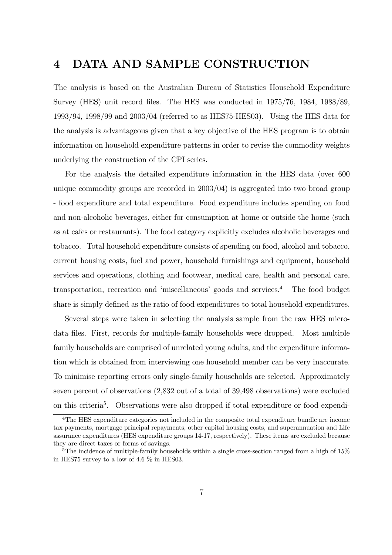### 4 DATA AND SAMPLE CONSTRUCTION

The analysis is based on the Australian Bureau of Statistics Household Expenditure Survey (HES) unit record files. The HES was conducted in 1975/76, 1984, 1988/89, 1993/94, 1998/99 and 2003/04 (referred to as HES75-HES03). Using the HES data for the analysis is advantageous given that a key objective of the HES program is to obtain information on household expenditure patterns in order to revise the commodity weights underlying the construction of the CPI series.

For the analysis the detailed expenditure information in the HES data (over 600 unique commodity groups are recorded in 2003/04) is aggregated into two broad group - food expenditure and total expenditure. Food expenditure includes spending on food and non-alcoholic beverages, either for consumption at home or outside the home (such as at cafes or restaurants). The food category explicitly excludes alcoholic beverages and tobacco. Total household expenditure consists of spending on food, alcohol and tobacco, current housing costs, fuel and power, household furnishings and equipment, household services and operations, clothing and footwear, medical care, health and personal care, transportation, recreation and 'miscellaneous' goods and services.<sup>4</sup> The food budget share is simply defined as the ratio of food expenditures to total household expenditures.

Several steps were taken in selecting the analysis sample from the raw HES microdata files. First, records for multiple-family households were dropped. Most multiple family households are comprised of unrelated young adults, and the expenditure information which is obtained from interviewing one household member can be very inaccurate. To minimise reporting errors only single-family households are selected. Approximately seven percent of observations (2,832 out of a total of 39,498 observations) were excluded on this criteria<sup>5</sup>. Observations were also dropped if total expenditure or food expendi-

<sup>4</sup>The HES expenditure categories not included in the composite total expenditure bundle are income tax payments, mortgage principal repayments, other capital housing costs, and superannuation and Life assurance expenditures (HES expenditure groups 14-17, respectively). These items are excluded because they are direct taxes or forms of savings.

<sup>&</sup>lt;sup>5</sup>The incidence of multiple-family households within a single cross-section ranged from a high of 15% in HES75 survey to a low of 4.6 % in HES03.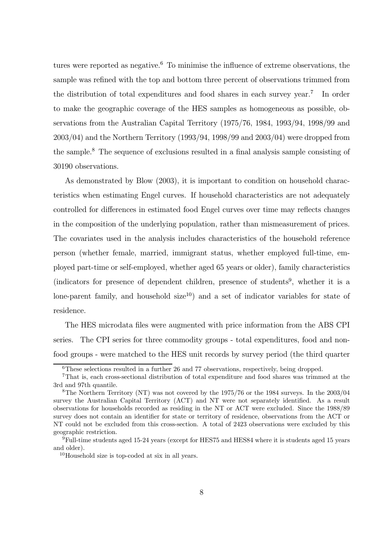tures were reported as negative.<sup>6</sup> To minimise the influence of extreme observations, the sample was refined with the top and bottom three percent of observations trimmed from the distribution of total expenditures and food shares in each survey year.<sup>7</sup> In order to make the geographic coverage of the HES samples as homogeneous as possible, observations from the Australian Capital Territory (1975/76, 1984, 1993/94, 1998/99 and 2003/04) and the Northern Territory (1993/94, 1998/99 and 2003/04) were dropped from the sample.<sup>8</sup> The sequence of exclusions resulted in a final analysis sample consisting of 30190 observations.

As demonstrated by Blow (2003), it is important to condition on household characteristics when estimating Engel curves. If household characteristics are not adequately controlled for differences in estimated food Engel curves over time may reflects changes in the composition of the underlying population, rather than mismeasurement of prices. The covariates used in the analysis includes characteristics of the household reference person (whether female, married, immigrant status, whether employed full-time, employed part-time or self-employed, whether aged 65 years or older), family characteristics (indicators for presence of dependent children, presence of students<sup>9</sup>, whether it is a lone-parent family, and household  $size^{10}$  and a set of indicator variables for state of residence.

The HES microdata files were augmented with price information from the ABS CPI series. The CPI series for three commodity groups - total expenditures, food and nonfood groups - were matched to the HES unit records by survey period (the third quarter

 ${}^{6}$ These selections resulted in a further 26 and 77 observations, respectively, being dropped.

<sup>7</sup>That is, each cross-sectional distribution of total expenditure and food shares was trimmed at the 3rd and 97th quantile.

<sup>&</sup>lt;sup>8</sup>The Northern Territory (NT) was not covered by the 1975/76 or the 1984 surveys. In the 2003/04 survey the Australian Capital Territory (ACT) and NT were not separately identified. As a result observations for households recorded as residing in the NT or ACT were excluded. Since the 1988/89 survey does not contain an identifier for state or territory of residence, observations from the ACT or NT could not be excluded from this cross-section. A total of 2423 observations were excluded by this geographic restriction.

<sup>&</sup>lt;sup>9</sup>Full-time students aged 15-24 years (except for HES75 and HES84 where it is students aged 15 years and older).

<sup>10</sup>Household size is top-coded at six in all years.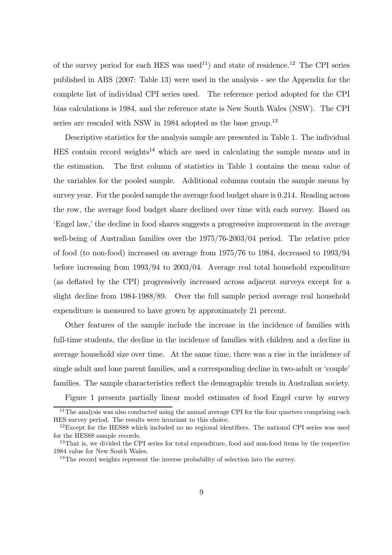of the survey period for each HES was used<sup>11</sup>) and state of residence.<sup>12</sup> The CPI series published in ABS (2007: Table 13) were used in the analysis - see the Appendix for the complete list of individual CPI series used. The reference period adopted for the CPI bias calculations is 1984, and the reference state is New South Wales (NSW). The CPI series are rescaled with NSW in 1984 adopted as the base group.<sup>13</sup>

Descriptive statistics for the analysis sample are presented in Table 1. The individual  $HES$  contain record weights<sup>14</sup> which are used in calculating the sample means and in the estimation. The first column of statistics in Table 1 contains the mean value of the variables for the pooled sample. Additional columns contain the sample means by survey year. For the pooled sample the average food budget share is 0.214. Reading across the row, the average food budget share declined over time with each survey. Based on 'Engel law,' the decline in food shares suggests a progressive improvement in the average well-being of Australian families over the 1975/76-2003/04 period. The relative price of food (to non-food) increased on average from 1975/76 to 1984, decreased to 1993/94 before increasing from 1993/94 to 2003/04. Average real total household expenditure (as deflated by the CPI) progressively increased across adjacent surveys except for a slight decline from 1984-1988/89. Over the full sample period average real household expenditure is measured to have grown by approximately 21 percent.

Other features of the sample include the increase in the incidence of families with full-time students, the decline in the incidence of families with children and a decline in average household size over time. At the same time, there was a rise in the incidence of single adult and lone parent families, and a corresponding decline in two-adult or 'couple' families. The sample characteristics reflect the demographic trends in Australian society.

Figure 1 presents partially linear model estimates of food Engel curve by survey

<sup>&</sup>lt;sup>11</sup>The analysis was also conducted using the annual average CPI for the four quarters comprising each HES survey period. The results were invariant to this choice.

 $12$ Except for the HES88 which included no no regional identifiers. The national CPI series was used for the HES88 sample records.

<sup>&</sup>lt;sup>13</sup>That is, we divided the CPI series for total expenditure, food and non-food items by the respective 1984 value for New South Wales.

<sup>14</sup>The record weights represent the inverse probability of selection into the survey.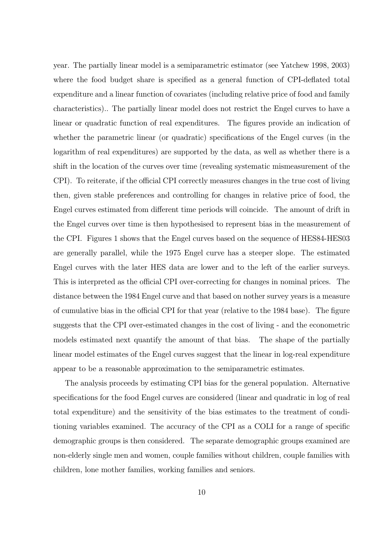year. The partially linear model is a semiparametric estimator (see Yatchew 1998, 2003) where the food budget share is specified as a general function of CPI-deflated total expenditure and a linear function of covariates (including relative price of food and family characteristics).. The partially linear model does not restrict the Engel curves to have a linear or quadratic function of real expenditures. The figures provide an indication of whether the parametric linear (or quadratic) specifications of the Engel curves (in the logarithm of real expenditures) are supported by the data, as well as whether there is a shift in the location of the curves over time (revealing systematic mismeasurement of the CPI). To reiterate, if the official CPI correctly measures changes in the true cost of living then, given stable preferences and controlling for changes in relative price of food, the Engel curves estimated from different time periods will coincide. The amount of drift in the Engel curves over time is then hypothesised to represent bias in the measurement of the CPI. Figures 1 shows that the Engel curves based on the sequence of HES84-HES03 are generally parallel, while the 1975 Engel curve has a steeper slope. The estimated Engel curves with the later HES data are lower and to the left of the earlier surveys. This is interpreted as the official CPI over-correcting for changes in nominal prices. The distance between the 1984 Engel curve and that based on nother survey years is a measure of cumulative bias in the official CPI for that year (relative to the 1984 base). The figure suggests that the CPI over-estimated changes in the cost of living - and the econometric models estimated next quantify the amount of that bias. The shape of the partially linear model estimates of the Engel curves suggest that the linear in log-real expenditure appear to be a reasonable approximation to the semiparametric estimates.

The analysis proceeds by estimating CPI bias for the general population. Alternative specifications for the food Engel curves are considered (linear and quadratic in log of real total expenditure) and the sensitivity of the bias estimates to the treatment of conditioning variables examined. The accuracy of the CPI as a COLI for a range of specific demographic groups is then considered. The separate demographic groups examined are non-elderly single men and women, couple families without children, couple families with children, lone mother families, working families and seniors.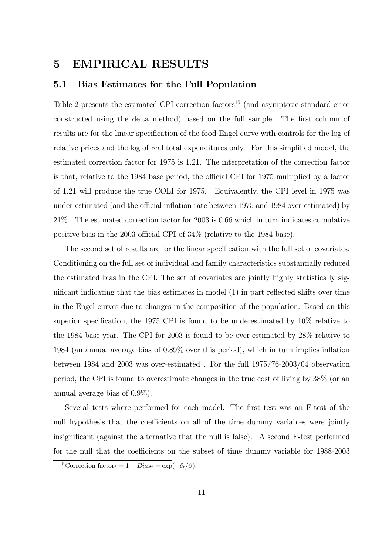## 5 EMPIRICAL RESULTS

#### 5.1 Bias Estimates for the Full Population

Table 2 presents the estimated CPI correction factors<sup>15</sup> (and asymptotic standard error constructed using the delta method) based on the full sample. The first column of results are for the linear specification of the food Engel curve with controls for the log of relative prices and the log of real total expenditures only. For this simplified model, the estimated correction factor for 1975 is 1.21. The interpretation of the correction factor is that, relative to the 1984 base period, the official CPI for 1975 multiplied by a factor of 1.21 will produce the true COLI for 1975. Equivalently, the CPI level in 1975 was under-estimated (and the official inflation rate between 1975 and 1984 over-estimated) by 21%. The estimated correction factor for 2003 is 0.66 which in turn indicates cumulative positive bias in the 2003 official CPI of 34% (relative to the 1984 base).

The second set of results are for the linear specification with the full set of covariates. Conditioning on the full set of individual and family characteristics substantially reduced the estimated bias in the CPI. The set of covariates are jointly highly statistically significant indicating that the bias estimates in model (1) in part reflected shifts over time in the Engel curves due to changes in the composition of the population. Based on this superior specification, the 1975 CPI is found to be underestimated by 10% relative to the 1984 base year. The CPI for 2003 is found to be over-estimated by 28% relative to 1984 (an annual average bias of 0.89% over this period), which in turn implies inflation between 1984 and 2003 was over-estimated . For the full 1975/76-2003/04 observation period, the CPI is found to overestimate changes in the true cost of living by 38% (or an annual average bias of 0.9%).

Several tests where performed for each model. The first test was an F-test of the null hypothesis that the coefficients on all of the time dummy variables were jointly insignificant (against the alternative that the null is false). A second F-test performed for the null that the coefficients on the subset of time dummy variable for 1988-2003

<sup>&</sup>lt;sup>15</sup>Correction factor<sub>t</sub> = 1 –  $Bias_t = \exp(-\delta_t/\beta)$ .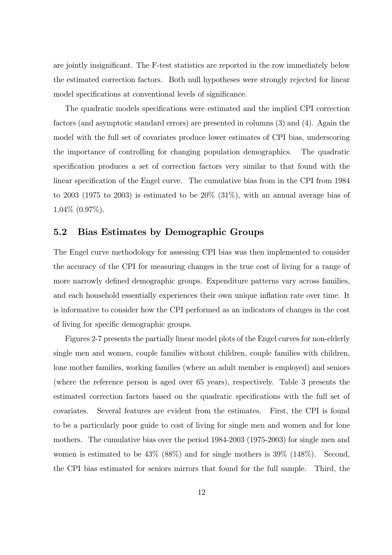are jointly insignificant. The F-test statistics are reported in the row immediately below the estimated correction factors. Both null hypotheses were strongly rejected for linear model specifications at conventional levels of significance.

The quadratic models specifications were estimated and the implied CPI correction factors (and asymptotic standard errors) are presented in columns (3) and (4). Again the model with the full set of covariates produce lower estimates of CPI bias, underscoring the importance of controlling for changing population demographics. The quadratic specification produces a set of correction factors very similar to that found with the linear specification of the Engel curve. The cumulative bias from in the CPI from 1984 to 2003 (1975 to 2003) is estimated to be 20% (31%), with an annual average bias of 1.04% (0.97%).

#### 5.2 Bias Estimates by Demographic Groups

The Engel curve methodology for assessing CPI bias was then implemented to consider the accuracy of the CPI for measuring changes in the true cost of living for a range of more narrowly defined demographic groups. Expenditure patterns vary across families, and each household essentially experiences their own unique inflation rate over time. It is informative to consider how the CPI performed as an indicators of changes in the cost of living for specific demographic groups.

Figures 2-7 presents the partially linear model plots of the Engel curves for non-elderly single men and women, couple families without children, couple families with children, lone mother families, working families (where an adult member is employed) and seniors (where the reference person is aged over 65 years), respectively. Table 3 presents the estimated correction factors based on the quadratic specifications with the full set of covariates. Several features are evident from the estimates. First, the CPI is found to be a particularly poor guide to cost of living for single men and women and for lone mothers. The cumulative bias over the period 1984-2003 (1975-2003) for single men and women is estimated to be 43% (88%) and for single mothers is 39% (148%). Second, the CPI bias estimated for seniors mirrors that found for the full sample. Third, the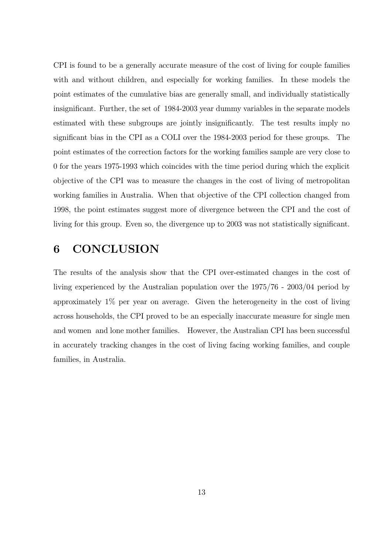CPI is found to be a generally accurate measure of the cost of living for couple families with and without children, and especially for working families. In these models the point estimates of the cumulative bias are generally small, and individually statistically insignificant. Further, the set of 1984-2003 year dummy variables in the separate models estimated with these subgroups are jointly insignificantly. The test results imply no significant bias in the CPI as a COLI over the 1984-2003 period for these groups. The point estimates of the correction factors for the working families sample are very close to 0 for the years 1975-1993 which coincides with the time period during which the explicit objective of the CPI was to measure the changes in the cost of living of metropolitan working families in Australia. When that objective of the CPI collection changed from 1998, the point estimates suggest more of divergence between the CPI and the cost of living for this group. Even so, the divergence up to 2003 was not statistically significant.

### 6 CONCLUSION

The results of the analysis show that the CPI over-estimated changes in the cost of living experienced by the Australian population over the 1975/76 - 2003/04 period by approximately 1% per year on average. Given the heterogeneity in the cost of living across households, the CPI proved to be an especially inaccurate measure for single men and women and lone mother families. However, the Australian CPI has been successful in accurately tracking changes in the cost of living facing working families, and couple families, in Australia.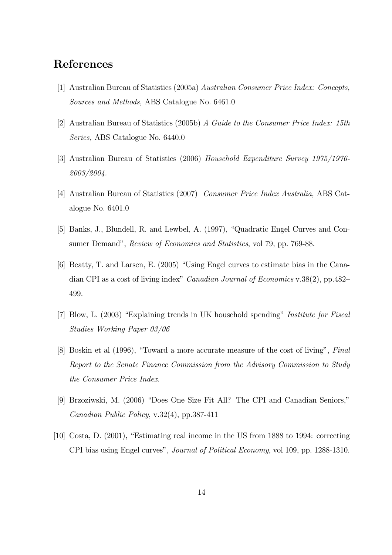### References

- [1] Australian Bureau of Statistics (2005a) Australian Consumer Price Index: Concepts, Sources and Methods, ABS Catalogue No. 6461.0
- [2] Australian Bureau of Statistics (2005b) A Guide to the Consumer Price Index: 15th Series, ABS Catalogue No. 6440.0
- [3] Australian Bureau of Statistics (2006) Household Expenditure Survey 1975/1976- 2003/2004.
- [4] Australian Bureau of Statistics (2007) Consumer Price Index Australia, ABS Catalogue No. 6401.0
- [5] Banks, J., Blundell, R. and Lewbel, A. (1997), "Quadratic Engel Curves and Consumer Demand", Review of Economics and Statistics, vol 79, pp. 769-88.
- [6] Beatty, T. and Larsen, E. (2005) "Using Engel curves to estimate bias in the Canadian CPI as a cost of living index" Canadian Journal of Economics v.38(2), pp.482— 499.
- [7] Blow, L. (2003) "Explaining trends in UK household spending" Institute for Fiscal Studies Working Paper 03/06
- [8] Boskin et al (1996), "Toward a more accurate measure of the cost of living", Final Report to the Senate Finance Commission from the Advisory Commission to Study the Consumer Price Index.
- [9] Brzoziwski, M. (2006) "Does One Size Fit All? The CPI and Canadian Seniors," Canadian Public Policy, v.32(4), pp.387-411
- [10] Costa, D. (2001), "Estimating real income in the US from 1888 to 1994: correcting CPI bias using Engel curves", Journal of Political Economy, vol 109, pp. 1288-1310.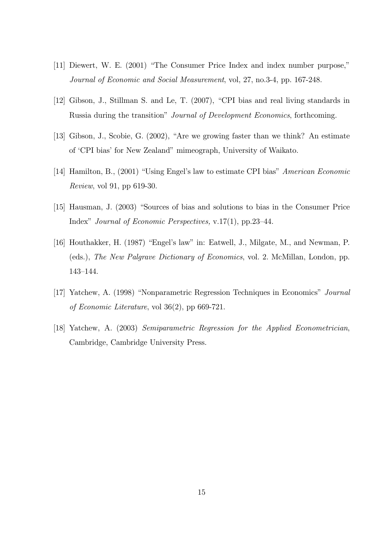- [11] Diewert, W. E. (2001) "The Consumer Price Index and index number purpose," Journal of Economic and Social Measurement, vol, 27, no.3-4, pp. 167-248.
- [12] Gibson, J., Stillman S. and Le, T. (2007), "CPI bias and real living standards in Russia during the transition" Journal of Development Economics, forthcoming.
- [13] Gibson, J., Scobie, G. (2002), "Are we growing faster than we think? An estimate of 'CPI bias' for New Zealand" mimeograph, University of Waikato.
- [14] Hamilton, B., (2001) "Using Engel's law to estimate CPI bias" American Economic Review, vol 91, pp 619-30.
- [15] Hausman, J. (2003) "Sources of bias and solutions to bias in the Consumer Price Index" Journal of Economic Perspectives, v.17(1), pp.23—44.
- [16] Houthakker, H. (1987) "Engel's law" in: Eatwell, J., Milgate, M., and Newman, P. (eds.), The New Palgrave Dictionary of Economics, vol. 2. McMillan, London, pp. 143—144.
- [17] Yatchew, A. (1998) "Nonparametric Regression Techniques in Economics" Journal of Economic Literature, vol 36(2), pp 669-721.
- [18] Yatchew, A. (2003) Semiparametric Regression for the Applied Econometrician, Cambridge, Cambridge University Press.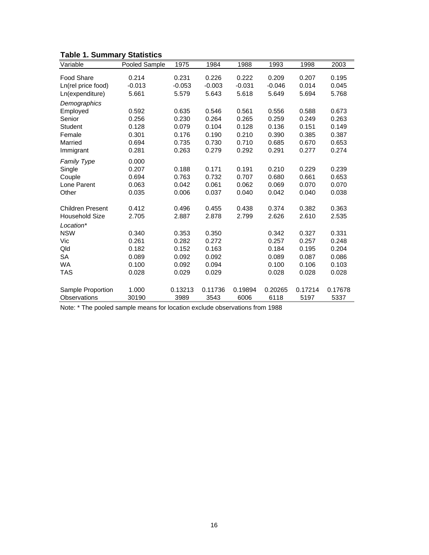| Variable                | <b>Pooled Sample</b> | 1975     | 1984     | 1988     | 1993     | 1998    | 2003    |
|-------------------------|----------------------|----------|----------|----------|----------|---------|---------|
|                         |                      |          |          |          |          |         |         |
| <b>Food Share</b>       | 0.214                | 0.231    | 0.226    | 0.222    | 0.209    | 0.207   | 0.195   |
| Ln(rel price food)      | $-0.013$             | $-0.053$ | $-0.003$ | $-0.031$ | $-0.046$ | 0.014   | 0.045   |
| Ln(expenditure)         | 5.661                | 5.579    | 5.643    | 5.618    | 5.649    | 5.694   | 5.768   |
| Demographics            |                      |          |          |          |          |         |         |
| Employed                | 0.592                | 0.635    | 0.546    | 0.561    | 0.556    | 0.588   | 0.673   |
| Senior                  | 0.256                | 0.230    | 0.264    | 0.265    | 0.259    | 0.249   | 0.263   |
| <b>Student</b>          | 0.128                | 0.079    | 0.104    | 0.128    | 0.136    | 0.151   | 0.149   |
| Female                  | 0.301                | 0.176    | 0.190    | 0.210    | 0.390    | 0.385   | 0.387   |
| Married                 | 0.694                | 0.735    | 0.730    | 0.710    | 0.685    | 0.670   | 0.653   |
| Immigrant               | 0.281                | 0.263    | 0.279    | 0.292    | 0.291    | 0.277   | 0.274   |
| <b>Family Type</b>      | 0.000                |          |          |          |          |         |         |
| Single                  | 0.207                | 0.188    | 0.171    | 0.191    | 0.210    | 0.229   | 0.239   |
| Couple                  | 0.694                | 0.763    | 0.732    | 0.707    | 0.680    | 0.661   | 0.653   |
| Lone Parent             | 0.063                | 0.042    | 0.061    | 0.062    | 0.069    | 0.070   | 0.070   |
| Other                   | 0.035                | 0.006    | 0.037    | 0.040    | 0.042    | 0.040   | 0.038   |
|                         |                      |          |          |          |          |         |         |
| <b>Children Present</b> | 0.412                | 0.496    | 0.455    | 0.438    | 0.374    | 0.382   | 0.363   |
| <b>Household Size</b>   | 2.705                | 2.887    | 2.878    | 2.799    | 2.626    | 2.610   | 2.535   |
| Location*               |                      |          |          |          |          |         |         |
| <b>NSW</b>              | 0.340                | 0.353    | 0.350    |          | 0.342    | 0.327   | 0.331   |
| Vic                     | 0.261                | 0.282    | 0.272    |          | 0.257    | 0.257   | 0.248   |
| Qld                     | 0.182                | 0.152    | 0.163    |          | 0.184    | 0.195   | 0.204   |
| <b>SA</b>               | 0.089                | 0.092    | 0.092    |          | 0.089    | 0.087   | 0.086   |
| <b>WA</b>               | 0.100                | 0.092    | 0.094    |          | 0.100    | 0.106   | 0.103   |
| TAS                     | 0.028                | 0.029    | 0.029    |          | 0.028    | 0.028   | 0.028   |
|                         |                      |          |          |          |          |         |         |
| Sample Proportion       | 1.000                | 0.13213  | 0.11736  | 0.19894  | 0.20265  | 0.17214 | 0.17678 |
| Observations            | 30190                | 3989     | 3543     | 6006     | 6118     | 5197    | 5337    |

### **Table 1. Summary Statistics**

Note: \* The pooled sample means for location exclude observations from 1988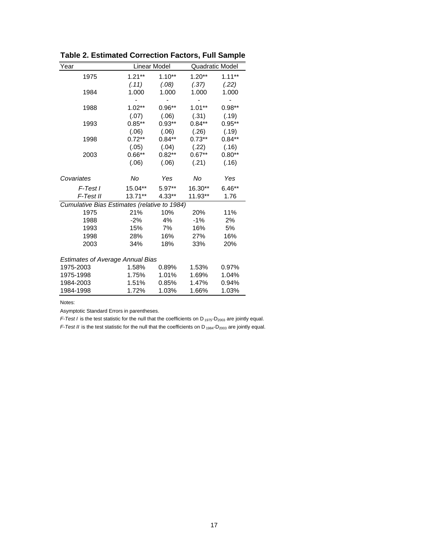| Year                                         |           | Linear Model |          | <b>Quadratic Model</b> |  |  |  |
|----------------------------------------------|-----------|--------------|----------|------------------------|--|--|--|
| 1975                                         | $1.21**$  | $1.10**$     | $1.20**$ | $1.11***$              |  |  |  |
|                                              | (.11)     | (.08)        | (.37)    | (.22)                  |  |  |  |
| 1984                                         | 1.000     | 1.000        | 1.000    | 1.000                  |  |  |  |
|                                              |           |              |          |                        |  |  |  |
| 1988                                         | $1.02**$  | $0.96**$     | $1.01**$ | $0.98**$               |  |  |  |
|                                              | (.07)     | (.06)        | (.31)    | (.19)                  |  |  |  |
| 1993                                         | $0.85***$ | $0.93**$     | $0.84**$ | $0.95**$               |  |  |  |
|                                              | (.06)     | (.06)        | (.26)    | (.19)                  |  |  |  |
| 1998                                         | $0.72***$ | $0.84***$    | $0.73**$ | $0.84**$               |  |  |  |
|                                              | (.05)     | (.04)        | (.22)    | (.16)                  |  |  |  |
| 2003                                         | $0.66**$  | $0.82**$     | $0.67**$ | $0.80**$               |  |  |  |
|                                              | (.06)     | (.06)        | (.21)    | (.16)                  |  |  |  |
|                                              |           |              |          |                        |  |  |  |
| Covariates                                   | No        | Yes          | No       | Yes                    |  |  |  |
| F-Test I                                     | 15.04**   | $5.97**$     | 16.30**  | $6.46**$               |  |  |  |
| F-Test II                                    | $13.71**$ | 4.33**       | 11.93**  | 1.76                   |  |  |  |
| Cumulative Bias Estimates (relative to 1984) |           |              |          |                        |  |  |  |
| 1975                                         | 21%       | 10%          | 20%      | 11%                    |  |  |  |
| 1988                                         | $-2%$     | 4%           | $-1%$    | 2%                     |  |  |  |
| 1993                                         | 15%       | 7%           | 16%      | 5%                     |  |  |  |
| 1998                                         | 28%       | 16%          | 27%      | 16%                    |  |  |  |
| 2003                                         | 34%       | 18%          | 33%      | 20%                    |  |  |  |
| <b>Estimates of Average Annual Bias</b>      |           |              |          |                        |  |  |  |
| 1975-2003                                    | 1.58%     | 0.89%        | 1.53%    | 0.97%                  |  |  |  |
| 1975-1998                                    | 1.75%     | 1.01%        | 1.69%    | 1.04%                  |  |  |  |
| 1984-2003                                    | 1.51%     | 0.85%        | 1.47%    | 0.94%                  |  |  |  |
| 1984-1998                                    | 1.72%     | 1.03%        | 1.66%    | 1.03%                  |  |  |  |
|                                              |           |              |          |                        |  |  |  |

**Table 2. Estimated Correction Factors, Full Sample**

Notes:

Asymptotic Standard Errors in parentheses.

*F-Test I* is the test statistic for the null that the coefficients on D<sub>1975</sub>-D<sub>2003</sub> are jointly equal.

*F-Test II* is the test statistic for the null that the coefficients on D<sub>1984</sub>-D<sub>2003</sub> are jointly equal.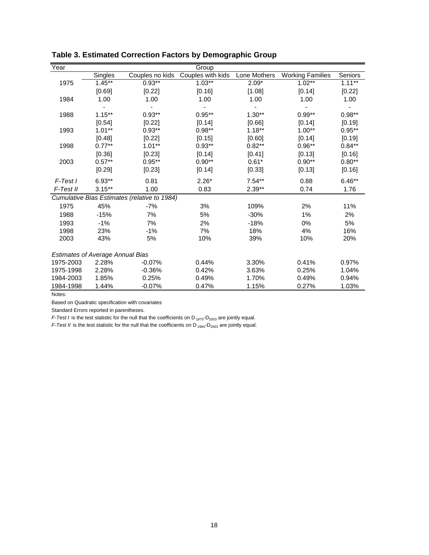| Year                                         |           |                 | Group             |              |                         |           |  |  |
|----------------------------------------------|-----------|-----------------|-------------------|--------------|-------------------------|-----------|--|--|
|                                              | Singles   | Couples no kids | Couples with kids | Lone Mothers | <b>Working Families</b> | Seniors   |  |  |
| 1975                                         | $1.45***$ | $0.93***$       | $1.03***$         | $2.09*$      | $1.02***$               | $1.11***$ |  |  |
|                                              | [0.69]    | [0.22]          | [0.16]            | [1.08]       | [0.14]                  | [0.22]    |  |  |
| 1984                                         | 1.00      | 1.00            | 1.00              | 1.00         | 1.00                    | 1.00      |  |  |
|                                              |           |                 |                   |              |                         |           |  |  |
| 1988                                         | $1.15***$ | $0.93**$        | $0.95**$          | $1.30**$     | $0.99**$                | $0.98**$  |  |  |
|                                              | [0.54]    | [0.22]          | [0.14]            | [0.66]       | [0.14]                  | [0.19]    |  |  |
| 1993                                         | $1.01***$ | $0.93**$        | $0.98**$          | $1.18***$    | $1.00**$                | $0.95***$ |  |  |
|                                              | [0.48]    | [0.22]          | [0.15]            | [0.60]       | [0.14]                  | [0.19]    |  |  |
| 1998                                         | $0.77***$ | $1.01**$        | $0.93**$          | $0.82**$     | $0.96**$                | $0.84**$  |  |  |
|                                              | [0.36]    | [0.23]          | [0.14]            | [0.41]       | [0.13]                  | [0.16]    |  |  |
| 2003                                         | $0.57**$  | $0.95***$       | $0.90**$          | $0.61*$      | $0.90**$                | $0.80**$  |  |  |
|                                              | [0.29]    | [0.23]          | [0.14]            | [0.33]       | [0.13]                  | [0.16]    |  |  |
| $F$ -Test I                                  | $6.93**$  | 0.81            | $2.26*$           | $7.54**$     | 0.88                    | $6.46**$  |  |  |
| F-Test II                                    | $3.15***$ | 1.00            | 0.83              | $2.39**$     | 0.74                    | 1.76      |  |  |
| Cumulative Bias Estimates (relative to 1984) |           |                 |                   |              |                         |           |  |  |
| 1975                                         | 45%       | $-7%$           | 3%                | 109%         | 2%                      | 11%       |  |  |
| 1988                                         | $-15%$    | 7%              | 5%                | $-30%$       | $1\%$                   | 2%        |  |  |
| 1993                                         | $-1%$     | 7%              | 2%                | $-18%$       | 0%                      | 5%        |  |  |
| 1998                                         | 23%       | $-1%$           | 7%                | 18%          | 4%                      | 16%       |  |  |
| 2003                                         | 43%       | 5%              | 10%               | 39%          | 10%                     | 20%       |  |  |
| <b>Estimates of Average Annual Bias</b>      |           |                 |                   |              |                         |           |  |  |
| 1975-2003                                    | 2.28%     | $-0.07%$        | 0.44%             | 3.30%        | 0.41%                   | 0.97%     |  |  |
| 1975-1998                                    | 2.28%     | $-0.36%$        | 0.42%             | 3.63%        | 0.25%                   | 1.04%     |  |  |
| 1984-2003                                    | 1.85%     | 0.25%           | 0.49%             | 1.70%        | 0.49%                   | 0.94%     |  |  |
| 1984-1998                                    | 1.44%     | $-0.07%$        | 0.47%             | 1.15%        | 0.27%                   | 1.03%     |  |  |

**Table 3. Estimated Correction Factors by Demographic Group**

Notes:

Based on Quadratic specification with covariates

Standard Errors reported in parentheses.

*F-Test I* is the test statistic for the null that the coefficients on D<sub>1975</sub>-D<sub>2003</sub> are jointly equal.

*F-Test II* is the test statistic for the null that the coefficients on D<sub>1984</sub>-D<sub>2003</sub> are jointly equal.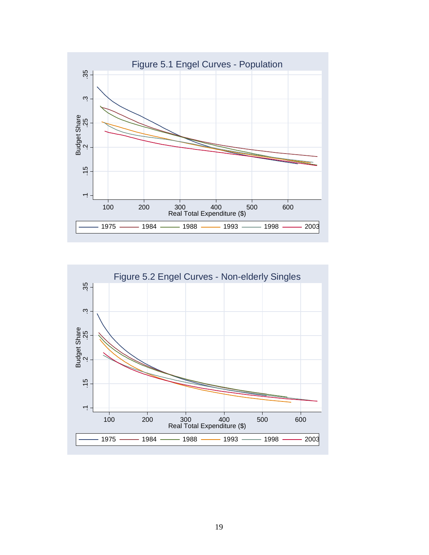

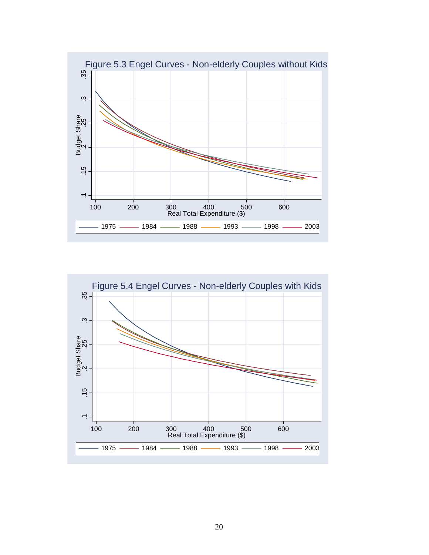

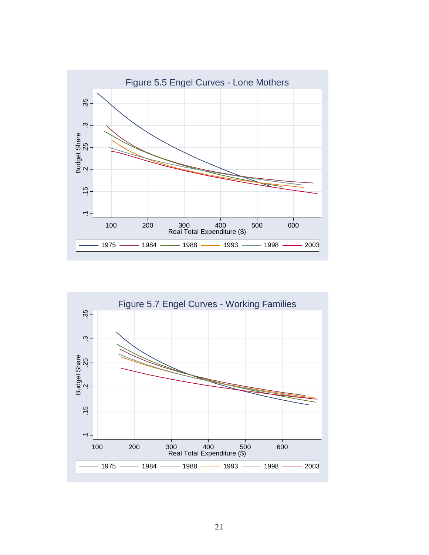